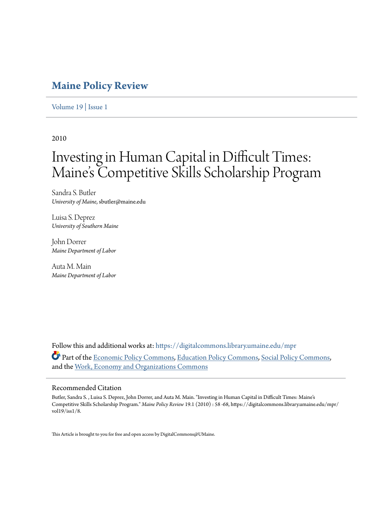### **[Maine Policy Review](https://digitalcommons.library.umaine.edu/mpr?utm_source=digitalcommons.library.umaine.edu%2Fmpr%2Fvol19%2Fiss1%2F8&utm_medium=PDF&utm_campaign=PDFCoverPages)**

[Volume 19](https://digitalcommons.library.umaine.edu/mpr/vol19?utm_source=digitalcommons.library.umaine.edu%2Fmpr%2Fvol19%2Fiss1%2F8&utm_medium=PDF&utm_campaign=PDFCoverPages) | [Issue 1](https://digitalcommons.library.umaine.edu/mpr/vol19/iss1?utm_source=digitalcommons.library.umaine.edu%2Fmpr%2Fvol19%2Fiss1%2F8&utm_medium=PDF&utm_campaign=PDFCoverPages)

2010

## Investing in Human Capital in Difficult Times: Maine's Competitive Skills Scholarship Program

Sandra S. Butler *University of Maine*, sbutler@maine.edu

Luisa S. Deprez *University of Southern Maine*

John Dorrer *Maine Department of Labor*

Auta M. Main *Maine Department of Labor*

Follow this and additional works at: [https://digitalcommons.library.umaine.edu/mpr](https://digitalcommons.library.umaine.edu/mpr?utm_source=digitalcommons.library.umaine.edu%2Fmpr%2Fvol19%2Fiss1%2F8&utm_medium=PDF&utm_campaign=PDFCoverPages) Part of the [Economic Policy Commons,](http://network.bepress.com/hgg/discipline/1025?utm_source=digitalcommons.library.umaine.edu%2Fmpr%2Fvol19%2Fiss1%2F8&utm_medium=PDF&utm_campaign=PDFCoverPages) [Education Policy Commons](http://network.bepress.com/hgg/discipline/1026?utm_source=digitalcommons.library.umaine.edu%2Fmpr%2Fvol19%2Fiss1%2F8&utm_medium=PDF&utm_campaign=PDFCoverPages), [Social Policy Commons](http://network.bepress.com/hgg/discipline/1030?utm_source=digitalcommons.library.umaine.edu%2Fmpr%2Fvol19%2Fiss1%2F8&utm_medium=PDF&utm_campaign=PDFCoverPages), and the [Work, Economy and Organizations Commons](http://network.bepress.com/hgg/discipline/433?utm_source=digitalcommons.library.umaine.edu%2Fmpr%2Fvol19%2Fiss1%2F8&utm_medium=PDF&utm_campaign=PDFCoverPages)

#### Recommended Citation

Butler, Sandra S. , Luisa S. Deprez, John Dorrer, and Auta M. Main. "Investing in Human Capital in Difficult Times: Maine's Competitive Skills Scholarship Program." *Maine Policy Review* 19.1 (2010) : 58 -68, https://digitalcommons.library.umaine.edu/mpr/ vol19/iss1/8.

This Article is brought to you for free and open access by DigitalCommons@UMaine.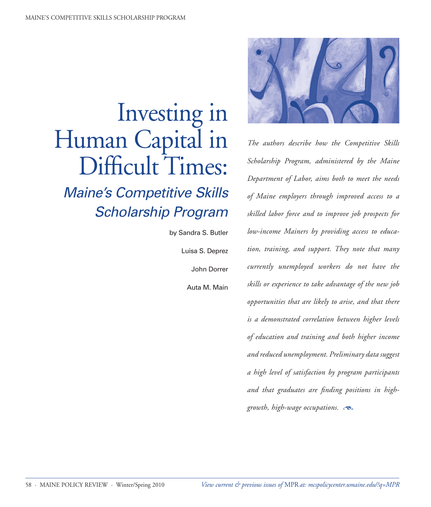# Investing in Human Capital in Difficult Times:

## *Maine's Competitive Skills Scholarship Program*

by Sandra S. Butler Luisa S. Deprez John Dorrer

Auta M. Main



*The authors describe how the Competitive Skills Scholarship Program, administered by the Maine Department of Labor, aims both to meet the needs of Maine employers through improved access to a skilled labor force and to improve job prospects for low-income Mainers by providing access to education, training, and support. They note that many currently unemployed workers do not have the skills or experience to take advantage of the new job opportunities that are likely to arise, and that there is a demonstrated correlation between higher levels of education and training and both higher income and reduced unemployment. Preliminary data suggest a high level of satisfaction by program participants and that graduates are finding positions in highgrowth, high-wage occupations.*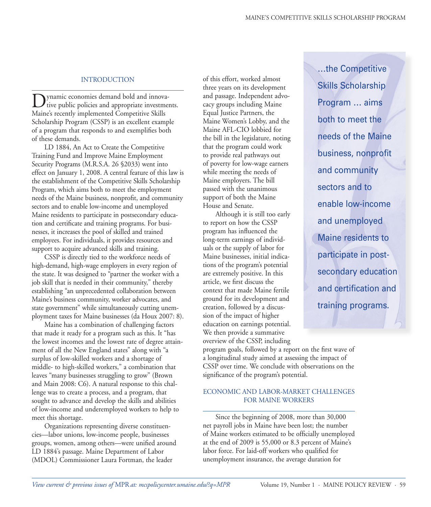#### INTRODUCTION

Dynamic economies demand bold and innova-<br>tive public policies and appropriate investments. Maine's recently implemented Competitive Skills Scholarship Program (CSSP) is an excellent example of a program that responds to and exemplifies both of these demands.

LD 1884, An Act to Create the Competitive Training Fund and Improve Maine Employment Security Programs (M.R.S.A. 26 §2033) went into effect on January 1, 2008. A central feature of this law is the establishment of the Competitive Skills Scholarship Program, which aims both to meet the employment needs of the Maine business, nonprofit, and community sectors and to enable low-income and unemployed Maine residents to participate in postsecondary education and certificate and training programs. For businesses, it increases the pool of skilled and trained employees. For individuals, it provides resources and support to acquire advanced skills and training.

CSSP is directly tied to the workforce needs of high-demand, high-wage employers in every region of the state. It was designed to "partner the worker with a job skill that is needed in their community," thereby establishing "an unprecedented collaboration between Maine's business community, worker advocates, and state government" while simultaneously cutting unemployment taxes for Maine businesses (da Houx 2007: 8).

Maine has a combination of challenging factors that made it ready for a program such as this. It "has the lowest incomes and the lowest rate of degree attainment of all the New England states" along with "a surplus of low-skilled workers and a shortage of middle- to high-skilled workers," a combination that leaves "many businesses struggling to grow" (Brown and Main 2008: C6). A natural response to this challenge was to create a process, and a program, that sought to advance and develop the skills and abilities of low-income and underemployed workers to help to meet this shortage.

Organizations representing diverse constituencies—labor unions, low-income people, businesses groups, women, among others—were unified around LD 1884's passage. Maine Department of Labor (MDOL) Commissioner Laura Fortman, the leader

of this effort, worked almost three years on its development and passage. Independent advocacy groups including Maine Equal Justice Partners, the Maine Women's Lobby, and the Maine AFL-CIO lobbied for the bill in the legislature, noting that the program could work to provide real pathways out of poverty for low-wage earners while meeting the needs of Maine employers. The bill passed with the unanimous support of both the Maine House and Senate.

Although it is still too early to report on how the CSSP program has influenced the long-term earnings of individuals or the supply of labor for Maine businesses, initial indications of the program's potential are extremely positive. In this article, we first discuss the context that made Maine fertile ground for its development and creation, followed by a discussion of the impact of higher education on earnings potential. We then provide a summative overview of the CSSP, including …the Competitive Skills Scholarship Program … aims both to meet the needs of the Maine business, nonprofit and community sectors and to enable low-income and unemployed Maine residents to participate in postsecondary education and certification and training programs.

program goals, followed by a report on the first wave of a longitudinal study aimed at assessing the impact of CSSP over time. We conclude with observations on the significance of the program's potential.

#### ECONOMIC AND LABOR-MARKET CHALLENGES FOR MAINE WORKERS

Since the beginning of 2008, more than 30,000 net payroll jobs in Maine have been lost; the number of Maine workers estimated to be officially unemployed at the end of 2009 is 55,000 or 8.3 percent of Maine's labor force. For laid-off workers who qualified for unemployment insurance, the average duration for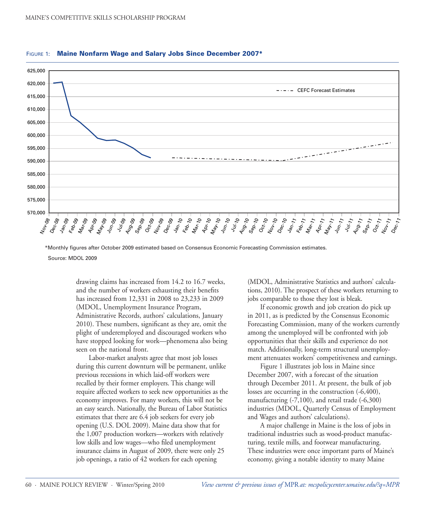

#### FIGURE 1: Maine Nonfarm Wage and Salary Jobs Since December 2007\*

 \*Monthly figures after October 2009 estimated based on Consensus Economic Forecasting Commission estimates. Source: MDOL 2009

> drawing claims has increased from 14.2 to 16.7 weeks, and the number of workers exhausting their benefits has increased from 12,331 in 2008 to 23,233 in 2009 (MDOL, Unemployment Insurance Program, Administrative Records, authors' calculations, January 2010). These numbers, significant as they are, omit the plight of underemployed and discouraged workers who have stopped looking for work—phenomena also being seen on the national front.

> Labor-market analysts agree that most job losses during this current downturn will be permanent, unlike previous recessions in which laid-off workers were recalled by their former employers. This change will require affected workers to seek new opportunities as the economy improves. For many workers, this will not be an easy search. Nationally, the Bureau of Labor Statistics estimates that there are 6.4 job seekers for every job opening (U.S. DOL 2009). Maine data show that for the 1,007 production workers—workers with relatively low skills and low wages—who filed unemployment insurance claims in August of 2009, there were only 25 job openings, a ratio of 42 workers for each opening

(MDOL, Administrative Statistics and authors' calculations, 2010). The prospect of these workers returning to jobs comparable to those they lost is bleak.

If economic growth and job creation do pick up in 2011, as is predicted by the Consensus Economic Forecasting Commission, many of the workers currently among the unemployed will be confronted with job opportunities that their skills and experience do not match. Additionally, long-term structural unemployment attenuates workers' competitiveness and earnings.

Figure 1 illustrates job loss in Maine since December 2007, with a forecast of the situation through December 2011. At present, the bulk of job losses are occurring in the construction (-6,400), manufacturing  $(-7,100)$ , and retail trade  $(-6,300)$ industries (MDOL, Quarterly Census of Employment and Wages and authors' calculations).

A major challenge in Maine is the loss of jobs in traditional industries such as wood-product manufacturing, textile mills, and footwear manufacturing. These industries were once important parts of Maine's economy, giving a notable identity to many Maine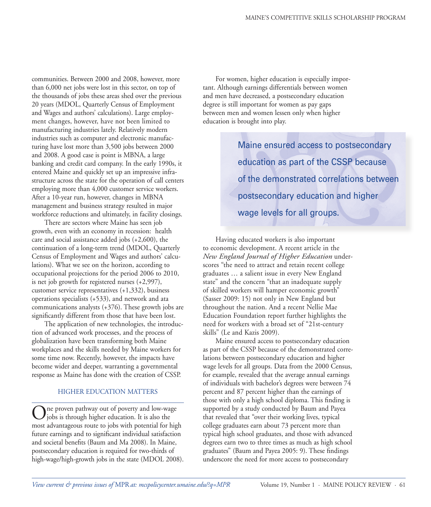communities. Between 2000 and 2008, however, more than 6,000 net jobs were lost in this sector, on top of the thousands of jobs these areas shed over the previous 20 years (MDOL, Quarterly Census of Employment and Wages and authors' calculations). Large employment changes, however, have not been limited to manufacturing industries lately. Relatively modern industries such as computer and electronic manufacturing have lost more than 3,500 jobs between 2000 and 2008. A good case is point is MBNA, a large banking and credit card company. In the early 1990s, it entered Maine and quickly set up an impressive infrastructure across the state for the operation of call centers employing more than 4,000 customer service workers. After a 10-year run, however, changes in MBNA management and business strategy resulted in major workforce reductions and ultimately, in facility closings.

There are sectors where Maine has seen job growth, even with an economy in recession: health care and social assistance added jobs (+2,600), the continuation of a long-term trend (MDOL, Quarterly Census of Employment and Wages and authors' calculations). What we see on the horizon, according to occupational projections for the period 2006 to 2010, is net job growth for registered nurses (+2,997), customer service representatives (+1,332), business operations specialists (+533), and network and ata communications analysts (+376). These growth jobs are significantly different from those that have been lost.

The application of new technologies, the introduction of advanced work processes, and the process of globalization have been transforming both Maine workplaces and the skills needed by Maine workers for some time now. Recently, however, the impacts have become wider and deeper, warranting a governmental response as Maine has done with the creation of CSSP.

#### HIGHER EDUCATION MATTERS

One proven pathway out of poverty and low-wage jobs is through higher education. It is also the most advantageous route to jobs with potential for high future earnings and to significant individual satisfaction and societal benefits (Baum and Ma 2008). In Maine, postsecondary education is required for two-thirds of high-wage/high-growth jobs in the state (MDOL 2008).

For women, higher education is especially important. Although earnings differentials between women and men have decreased, a postsecondary education degree is still important for women as pay gaps between men and women lessen only when higher education is brought into play.

> Maine ensured access to postsecondary education as part of the CSSP because of the demonstrated correlations between postsecondary education and higher wage levels for all groups.

Having educated workers is also important to economic development. A recent article in the *New England Journal of Higher Education* underscores "the need to attract and retain recent college graduates … a salient issue in every New England state" and the concern "that an inadequate supply of skilled workers will hamper economic growth" (Sasser 2009: 15) not only in New England but throughout the nation. And a recent Nellie Mae Education Foundation report further highlights the need for workers with a broad set of "21st-century skills" (Le and Kazis 2009).

Maine ensured access to postsecondary education as part of the CSSP because of the demonstrated correlations between postsecondary education and higher wage levels for all groups. Data from the 2000 Census, for example, revealed that the average annual earnings of individuals with bachelor's degrees were between 74 percent and 87 percent higher than the earnings of those with only a high school diploma. This finding is supported by a study conducted by Baum and Payea that revealed that "over their working lives, typical college graduates earn about 73 percent more than typical high school graduates, and those with advanced degrees earn two to three times as much as high school graduates" (Baum and Payea 2005: 9). These findings underscore the need for more access to postsecondary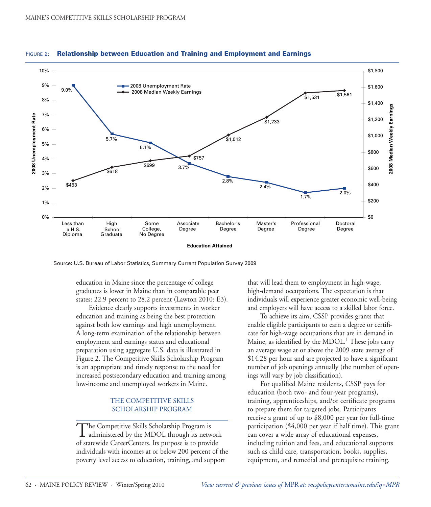

FIGURE 2: Relationship between Education and Training and Employment and Earnings

Source: U.S. Bureau of Labor Statistics, Summary Current Population Survey 2009

education in Maine since the percentage of college graduates is lower in Maine than in comparable peer states: 22.9 percent to 28.2 percent (Lawton 2010: E3).

Evidence clearly supports investments in worker education and training as being the best protection against both low earnings and high unemployment. A long-term examination of the relationship between employment and earnings status and educational preparation using aggregate U.S. data is illustrated in Figure 2. The Competitive Skills Scholarship Program is an appropriate and timely response to the need for increased postsecondary education and training among low-income and unemployed workers in Maine.

#### THE COMPETITIVE SKILLS SCHOLARSHIP PROGRAM

The Competitive Skills Scholarship Program is administered by the MDOL through its network of statewide CareerCenters. Its purpose is to provide individuals with incomes at or below 200 percent of the poverty level access to education, training, and support

that will lead them to employment in high-wage, high-demand occupations. The expectation is that individuals will experience greater economic well-being and employers will have access to a skilled labor force.

To achieve its aim, CSSP provides grants that enable eligible participants to earn a degree or certificate for high-wage occupations that are in demand in Maine, as identified by the MDOL.<sup>1</sup> These jobs carry an average wage at or above the 2009 state average of \$14.28 per hour and are projected to have a significant number of job openings annually (the number of openings will vary by job classification).

For qualified Maine residents, CSSP pays for education (both two- and four-year programs), training, apprenticeships, and/or certificate programs to prepare them for targeted jobs. Participants receive a grant of up to \$8,000 per year for full-time participation (\$4,000 per year if half time). This grant can cover a wide array of educational expenses, including tuition and fees, and educational supports such as child care, transportation, books, supplies, equipment, and remedial and prerequisite training.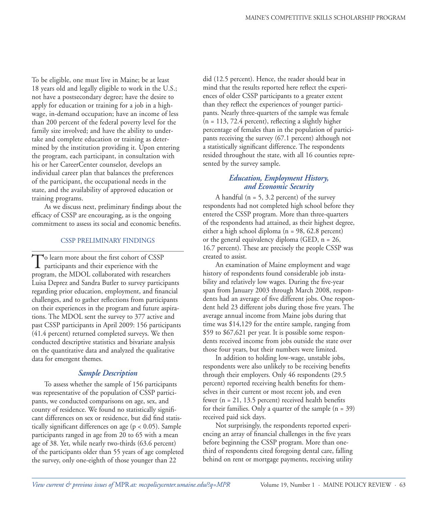To be eligible, one must live in Maine; be at least 18 years old and legally eligible to work in the U.S.; not have a postsecondary degree; have the desire to apply for education or training for a job in a highwage, in-demand occupation; have an income of less than 200 percent of the federal poverty level for the family size involved; and have the ability to undertake and complete education or training as determined by the institution providing it. Upon entering the program, each participant, in consultation with his or her CareerCenter counselor, develops an individual career plan that balances the preferences of the participant, the occupational needs in the state, and the availability of approved education or training programs.

As we discuss next, preliminary findings about the efficacy of CSSP are encouraging, as is the ongoing commitment to assess its social and economic benefits.

#### CSSP PRELIMINARY FINDINGS

To learn more about the first cohort of CSSP<br>participants and their experience with the program, the MDOL collaborated with researchers Luisa Deprez and Sandra Butler to survey participants regarding prior education, employment, and financial challenges, and to gather reflections from participants on their experiences in the program and future aspirations. The MDOL sent the survey to 377 active and past CSSP participants in April 2009: 156 participants (41.4 percent) returned completed surveys. We then conducted descriptive statistics and bivariate analysis on the quantitative data and analyzed the qualitative data for emergent themes.

#### *Sample Description*

To assess whether the sample of 156 participants was representative of the population of CSSP participants, we conducted comparisons on age, sex, and county of residence. We found no statistically significant differences on sex or residence, but did find statistically significant differences on age (p < 0.05). Sample participants ranged in age from 20 to 65 with a mean age of 38. Yet, while nearly two-thirds (63.6 percent) of the participants older than 55 years of age completed the survey, only one-eighth of those younger than 22

did (12.5 percent). Hence, the reader should bear in mind that the results reported here reflect the experiences of older CSSP participants to a greater extent than they reflect the experiences of younger participants. Nearly three-quarters of the sample was female  $(n = 113, 72.4$  percent), reflecting a slightly higher percentage of females than in the population of participants receiving the survey (67.1 percent) although not a statistically significant difference. The respondents resided throughout the state, with all 16 counties represented by the survey sample.

#### *Education, Employment History, and Economic Security*

A handful ( $n = 5$ , 3.2 percent) of the survey respondents had not completed high school before they entered the CSSP program. More than three-quarters of the respondents had attained, as their highest degree, either a high school diploma (n = 98, 62.8 percent) or the general equivalency diploma (GED, n = 26, 16.7 percent). These are precisely the people CSSP was created to assist.

An examination of Maine employment and wage history of respondents found considerable job instability and relatively low wages. During the five-year span from January 2003 through March 2008, respondents had an average of five different jobs. One respondent held 23 different jobs during those five years. The average annual income from Maine jobs during that time was \$14,129 for the entire sample, ranging from \$59 to \$67,621 per year. It is possible some respondents received income from jobs outside the state over those four years, but their numbers were limited.

In addition to holding low-wage, unstable jobs, respondents were also unlikely to be receiving benefits through their employers. Only 46 respondents (29.5 percent) reported receiving health benefits for themselves in their current or most recent job, and even fewer (n = 21, 13.5 percent) received health benefits for their families. Only a quarter of the sample  $(n = 39)$ received paid sick days.

Not surprisingly, the respondents reported experiencing an array of financial challenges in the five years before beginning the CSSP program. More than onethird of respondents cited foregoing dental care, falling behind on rent or mortgage payments, receiving utility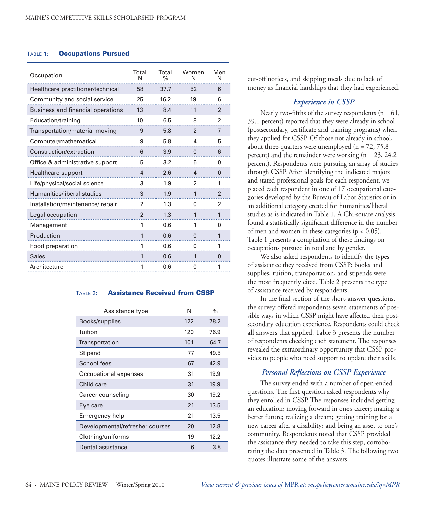#### Table 1: Occupations Pursued

| Total<br>N     | Total<br>$\%$ | Women<br>N     | Men<br>N       |
|----------------|---------------|----------------|----------------|
| 58             | 37.7          | 52             | 6              |
| 25             | 16.2          | 19             | 6              |
| 13             | 8.4           | 11             | $\mathfrak{p}$ |
| 10             | 6.5           | 8              | $\overline{2}$ |
| 9              | 5.8           | $\mathfrak{p}$ | $\overline{7}$ |
| 9              | 5.8           | 4              | 5              |
| 6              | 3.9           | 0              | 6              |
| 5              | 3.2           | 5              | 0              |
| 4              | 2.6           | $\Delta$       | $\Omega$       |
| 3              | 1.9           | $\mathfrak{p}$ | 1              |
| 3              | 1.9           | 1              | $\mathfrak{p}$ |
| $\mathfrak{p}$ | 1.3           | 0              | 2              |
| $\mathfrak{p}$ | 1.3           | 1              | 1              |
| 1              | 0.6           | 1              | 0              |
| 1              | 0.6           | 0              | 1              |
| 1              | 0.6           | O              | 1              |
| 1              | 0.6           | 1              | $\Omega$       |
| 1              | 0.6           | 0              | 1              |
|                |               |                |                |

#### Table 2: Assistance Received from CSSP

| Assistance type                 | N   | $\%$ |
|---------------------------------|-----|------|
| Books/supplies                  | 122 | 78.2 |
| Tuition                         | 120 | 76.9 |
| Transportation                  | 101 | 64.7 |
| Stipend                         | 77  | 49.5 |
| School fees                     | 67  | 42.9 |
| Occupational expenses           | 31  | 19.9 |
| Child care                      | 31  | 19.9 |
| Career counseling               | 30  | 19.2 |
| Eye care                        | 21  | 13.5 |
| Emergency help                  | 21  | 13.5 |
| Developmental/refresher courses | 20  | 12.8 |
| Clothing/uniforms               | 19  | 12.2 |
| Dental assistance               | 6   | 3.8  |
|                                 |     |      |

cut-off notices, and skipping meals due to lack of money as financial hardships that they had experienced.

#### *Experience in CSSP*

Nearly two-fifths of the survey respondents ( $n = 61$ , 39.1 percent) reported that they were already in school (postsecondary, certificate and training programs) when they applied for CSSP. Of those not already in school, about three-quarters were unemployed ( $n = 72, 75.8$ ) percent) and the remainder were working (n = 23, 24.2 percent). Respondents were pursuing an array of studies through CSSP. After identifying the indicated majors and stated professional goals for each respondent, we placed each respondent in one of 17 occupational categories developed by the Bureau of Labor Statistics or in an additional category created for humanities/liberal studies as is indicated in Table 1. A Chi-square analysis found a statistically significant difference in the number of men and women in these categories ( $p < 0.05$ ). Table 1 presents a compilation of these findings on occupations pursued in total and by gender.

We also asked respondents to identify the types of assistance they received from CSSP: books and supplies, tuition, transportation, and stipends were the most frequently cited. Table 2 presents the type of assistance received by respondents.

In the final section of the short-answer questions, the survey offered respondents seven statements of possible ways in which CSSP might have affected their postsecondary education experience. Respondents could check all answers that applied. Table 3 presents the number of respondents checking each statement. The responses revealed the extraordinary opportunity that CSSP provides to people who need support to update their skills.

#### *Personal Reflections on CSSP Experience*

The survey ended with a number of open-ended questions. The first question asked respondents why they enrolled in CSSP. The responses included getting an education; moving forward in one's career; making a better future; realizing a dream; getting training for a new career after a disability; and being an asset to one's community. Respondents noted that CSSP provided the assistance they needed to take this step, corroborating the data presented in Table 3. The following two quotes illustrate some of the answers.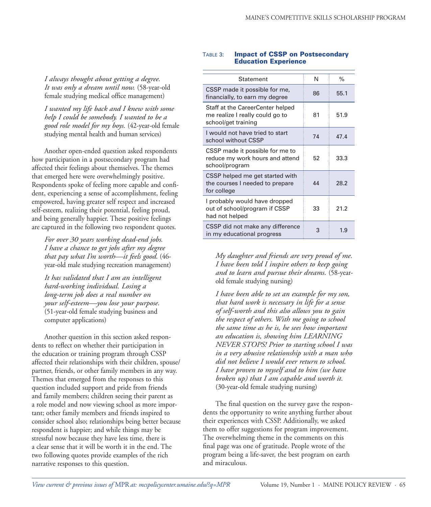*I always thought about getting a degree. It was only a dream until now.* (58-year-old female studying medical office management)

*I wanted my life back and I knew with some help I could be somebody. I wanted to be a good role model for my boys.* (42-year-old female studying mental health and human services)

Another open-ended question asked respondents how participation in a postsecondary program had affected their feelings about themselves. The themes that emerged here were overwhelmingly positive. Respondents spoke of feeling more capable and confident, experiencing a sense of accomplishment, feeling empowered, having greater self respect and increased self-esteem, realizing their potential, feeling proud, and being generally happier. These positive feelings are captured in the following two respondent quotes.

*For over 30 years working dead-end jobs. I have a chance to get jobs after my degree that pay what I'm worth—it feels good.* (46 year-old male studying recreation management)

*It has validated that I am an intelligent hard-working individual. Losing a long-term job does a real number on your self-esteem—you lose your purpose.* (51-year-old female studying business and computer applications)

Another question in this section asked respondents to reflect on whether their participation in the education or training program through CSSP affected their relationships with their children, spouse/ partner, friends, or other family members in any way. Themes that emerged from the responses to this question included support and pride from friends and family members; children seeing their parent as a role model and now viewing school as more important; other family members and friends inspired to consider school also; relationships being better because respondent is happier; and while things may be stressful now because they have less time, there is a clear sense that it will be worth it in the end. The two following quotes provide examples of the rich narrative responses to this question.

#### Table 3: Impact of CSSP on Postsecondary Education Experience

| Statement                                                                                  | N  | $\%$ |
|--------------------------------------------------------------------------------------------|----|------|
| CSSP made it possible for me,<br>financially, to earn my degree                            | 86 | 55.1 |
| Staff at the CareerCenter helped<br>me realize I really could go to<br>school/get training | 81 | 51.9 |
| I would not have tried to start<br>school without CSSP                                     | 74 | 47.4 |
| CSSP made it possible for me to<br>reduce my work hours and attend<br>school/program       | 52 | 33.3 |
| CSSP helped me get started with<br>the courses I needed to prepare<br>for college          | 44 | 28.2 |
| I probably would have dropped<br>out of school/program if CSSP<br>had not helped           | 33 | 21.2 |
| CSSP did not make any difference<br>in my educational progress                             | 3  | 1 9  |

*My daughter and friends are very proud of me. I have been told I inspire others to keep going and to learn and pursue their dreams.* (58-yearold female studying nursing)

*I have been able to set an example for my son, that hard work is necessary in life for a sense of self-worth and this also allows you to gain the respect of others. With me going to school the same time as he is, he sees how important an education is, showing him LEARNING NEVER STOPS! Prior to starting school I was in a very abusive relationship with a man who did not believe I would ever return to school. I have proven to myself and to him (we have broken up) that I am capable and worth it.*  (30-year-old female studying nursing)

The final question on the survey gave the respondents the opportunity to write anything further about their experiences with CSSP. Additionally, we asked them to offer suggestions for program improvement. The overwhelming theme in the comments on this final page was one of gratitude. People wrote of the program being a life-saver, the best program on earth and miraculous.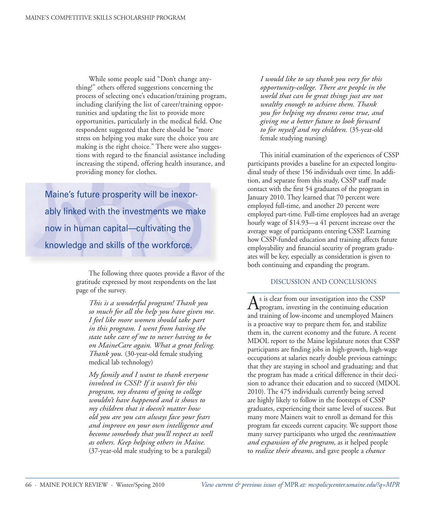While some people said "Don't change anything!" others offered suggestions concerning the process of selecting one's education/training program, including clarifying the list of career/training opportunities and updating the list to provide more opportunities, particularly in the medical field. One respondent suggested that there should be "more stress on helping you make sure the choice you are making is the right choice." There were also suggestions with regard to the financial assistance including increasing the stipend, offering health insurance, and providing money for clothes.

Maine's future prosperity will be inexorably linked with the investments we make now in human capital—cultivating the knowledge and skills of the workforce.

> The following three quotes provide a flavor of the gratitude expressed by most respondents on the last page of the survey.

*This is a wonderful program! Thank you so much for all the help you have given me. I feel like more women should take part in this program. I went from having the state take care of me to never having to be on MaineCare again. What a great feeling. Thank you.* (30-year-old female studying medical lab technology)

*My family and I want to thank everyone involved in CSSP. If it wasn't for this program, my dreams of going to college wouldn't have happened and it shows to my children that it doesn't matter how old you are you can always face your fears and improve on your own intelligence and become somebody that you'll respect as well as others. Keep helping others in Maine.*  (37-year-old male studying to be a paralegal)

*I would like to say thank you very for this opportunity-college. There are people in the world that can be great things just are not wealthy enough to achieve them. Thank you for helping my dreams come true, and giving me a better future to look forward to for myself and my children.* (35-year-old female studying nursing)

This initial examination of the experiences of CSSP participants provides a baseline for an expected longitudinal study of these 156 individuals over time. In addition, and separate from this study, CSSP staff made contact with the first 54 graduates of the program in January 2010. They learned that 70 percent were employed full-time, and another 20 percent were employed part-time. Full-time employees had an average hourly wage of \$14.93—a 41 percent increase over the average wage of participants entering CSSP. Learning how CSSP-funded education and training affects future employability and financial security of program graduates will be key, especially as consideration is given to both continuing and expanding the program.

#### DISCUSSION AND CONCLUSIONS

As is clear from our investigation into the CSSP program, investing in the continuing education and training of low-income and unemployed Mainers is a proactive way to prepare them for, and stabilize them in, the current economy and the future. A recent MDOL report to the Maine legislature notes that CSSP participants are finding jobs in high-growth, high-wage occupations at salaries nearly double previous earnings; that they are staying in school and graduating; and that the program has made a critical difference in their decision to advance their education and to succeed (MDOL 2010). The 475 individuals currently being served are highly likely to follow in the footsteps of CSSP graduates, experiencing their same level of success. But many more Mainers wait to enroll as demand for this program far exceeds current capacity. We support those many survey participants who urged the *continuation and expansion of the program*, as it helped people to *realize their dreams*, and gave people a *chance*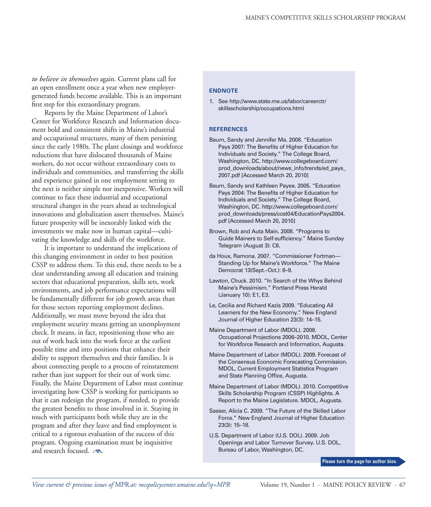*to believe in themselves* again. Current plans call for an open enrollment once a year when new employergenerated funds become available. This is an important first step for this extraordinary program.

Reports by the Maine Department of Labor's Center for Workforce Research and Information document bold and consistent shifts in Maine's industrial and occupational structures, many of them persisting since the early 1980s. The plant closings and workforce reductions that have dislocated thousands of Maine workers, do not occur without extraordinary costs to individuals and communities, and transferring the skills and experience gained in one employment setting to the next is neither simple nor inexpensive. Workers will continue to face these industrial and occupational structural changes in the years ahead as technological innovations and globalization assert themselves. Maine's future prosperity will be inexorably linked with the investments we make now in human capital—cultivating the knowledge and skills of the workforce.

It is important to understand the implications of this changing environment in order to best position CSSP to address them. To this end, there needs to be a clear understanding among all education and training sectors that educational preparation, skills sets, work environments, and job performance expectations will be fundamentally different for job growth areas than for those sectors reporting employment declines. Additionally, we must move beyond the idea that employment security means getting an unemployment check. It means, in fact, repositioning those who are out of work back into the work force at the earliest possible time and into positions that enhance their ability to support themselves and their families. It is about connecting people to a process of reinstatement rather than just support for their out of work time. Finally, the Maine Department of Labor must continue investigating how CSSP is working for participants so that it can redesign the program, if needed, to provide the greatest benefits to those involved in it. Staying in touch with participants both while they are in the program and after they leave and find employment is critical to a rigorous evaluation of the success of this program. Ongoing examination must be inquisitive and research focused.

#### **EndNOTE**

1. See http://www.state.me.us/labor/careerctr/ skillsscholarship/occupations.html

#### **REFERENCES**

- Baum, Sandy and Jennifer Ma. 2008. "Education Pays 2007: The Benefits of Higher Education for Individuals and Society." The College Board, Washington, DC. http://www.collegeboard.com/ prod\_downloads/about/news\_info/trends/ed\_pays\_ 2007.pdf [Accessed March 20, 2010]
- Baum, Sandy and Kathleen Payea. 2005. "Education Pays 2004: The Benefits of Higher Education for Individuals and Society." The College Board, Washington, DC. http://www.collegeboard.com/ prod\_downloads/press/cost04/EducationPays2004. pdf [Accessed March 20, 2010]
- Brown, Rob and Auta Main. 2008. "Programs to Guide Mainers to Self-sufficiency." Maine Sunday Telegram (August 3): C6.
- da Houx, Ramona. 2007. "Commissioner Fortman— Standing Up for Maine's Workforce." The Maine Democrat 13(Sept.–Oct.): 8–9.
- Lawton, Chuck. 2010. "In Search of the Whys Behind Maine's Pessimism." Portland Press Herald (January 10): E1, E3.
- Le, Cecilia and Richard Kazis 2009. "Educating All Learners for the New Economy." New England Journal of Higher Education 23(3): 14–15.
- Maine Department of Labor (MDOL). 2008. Occupational Projections 2006–2010. MDOL, Center for Workforce Research and Information, Augusta.
- Maine Department of Labor (MDOL). 2009. Forecast of the Consensus Economic Forecasting Commission. MDOL, Current Employment Statistics Program and State Planning Office, Augusta.
- Maine Department of Labor (MDOL). 2010. Competitive Skills Scholarship Program (CSSP) Highlights. A Report to the Maine Legislature. MDOL, Augusta.
- Sasser, Alicia C. 2009. "The Future of the Skilled Labor Force." New England Journal of Higher Education 23(3): 15–18.
- U.S. Department of Labor (U.S. DOL). 2009. Job Openings and Labor Turnover Survey. U.S. DOL, Bureau of Labor, Washington, DC.

**Please turn the page for author bios.**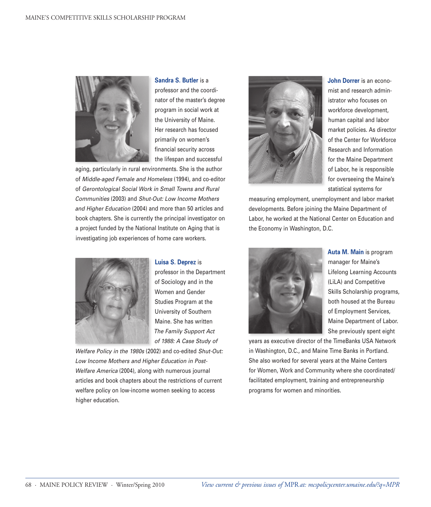

**Sandra S. Butler** is a professor and the coordinator of the master's degree program in social work at the University of Maine. Her research has focused primarily on women's financial security across the lifespan and successful

aging, particularly in rural environments. She is the author of *Middle-aged Female and Homeless* (1994), and co-editor of *Gerontological Social Work in Small Towns and Rural Communities* (2003) and *Shut-Out: Low Income Mothers and Higher Education* (2004) and more than 50 articles and book chapters. She is currently the principal investigator on a project funded by the National Institute on Aging that is investigating job experiences of home care workers.



**Luisa S. Deprez** is

professor in the Department of Sociology and in the Women and Gender Studies Program at the University of Southern Maine. She has written *The Family Support Act of 1988: A Case Study of* 

*Welfare Policy in the 1980s* (2002) and co-edited *Shut-Out: Low Income Mothers and Higher Education in Post-Welfare America* (2004), along with numerous journal articles and book chapters about the restrictions of current welfare policy on low-income women seeking to access higher education.



**John Dorrer** is an economist and research administrator who focuses on workforce development, human capital and labor market policies. As director of the Center for Workforce Research and Information for the Maine Department of Labor, he is responsible for overseeing the Maine's statistical systems for

measuring employment, unemployment and labor market developments. Before joining the Maine Department of Labor, he worked at the National Center on Education and the Economy in Washington, D.C.



**Auta M. Main** is program manager for Maine's Lifelong Learning Accounts (LiLA) and Competitive Skills Scholarship programs, both housed at the Bureau of Employment Services, Maine Department of Labor. She previously spent eight

years as executive director of the TimeBanks USA Network in Washington, D.C., and Maine Time Banks in Portland. She also worked for several years at the Maine Centers for Women, Work and Community where she coordinated/ facilitated employment, training and entrepreneurship programs for women and minorities.